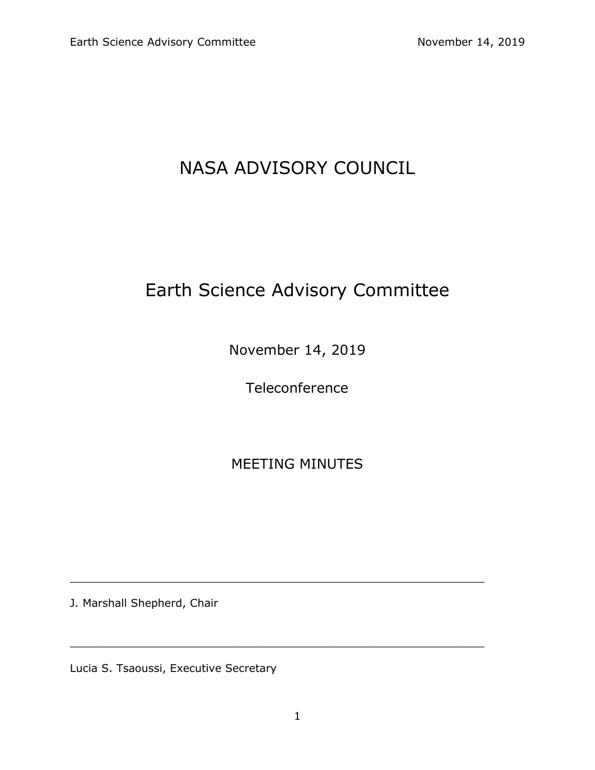## NASA ADVISORY COUNCIL

# Earth Science Advisory Committee

November 14, 2019

**Teleconference** 

MEETING MINUTES

\_\_\_\_\_\_\_\_\_\_\_\_\_\_\_\_\_\_\_\_\_\_\_\_\_\_\_\_\_\_\_\_\_\_\_\_\_\_\_\_\_\_\_\_\_\_\_\_\_\_\_\_\_\_\_\_\_\_\_\_\_

\_\_\_\_\_\_\_\_\_\_\_\_\_\_\_\_\_\_\_\_\_\_\_\_\_\_\_\_\_\_\_\_\_\_\_\_\_\_\_\_\_\_\_\_\_\_\_\_\_\_\_\_\_\_\_\_\_\_\_\_\_

J. Marshall Shepherd, Chair

Lucia S. Tsaoussi, Executive Secretary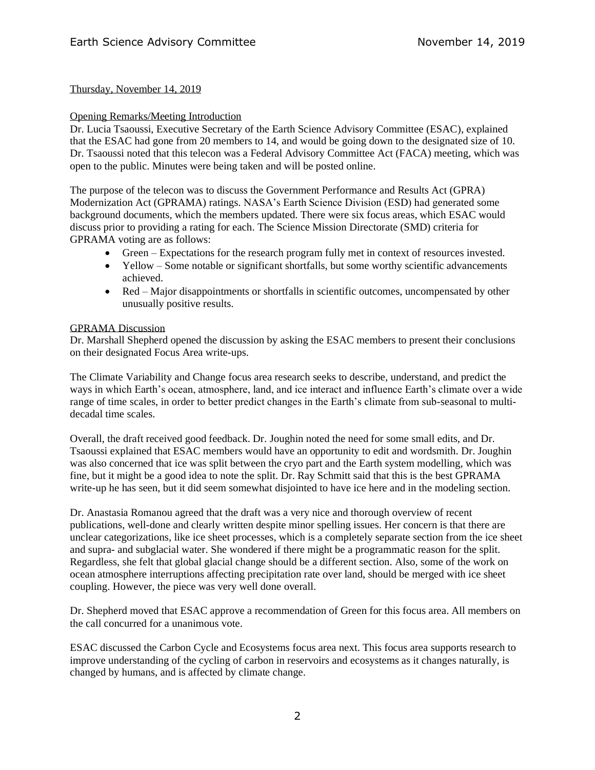## Thursday, November 14, 2019

#### Opening Remarks/Meeting Introduction

Dr. Lucia Tsaoussi, Executive Secretary of the Earth Science Advisory Committee (ESAC), explained that the ESAC had gone from 20 members to 14, and would be going down to the designated size of 10. Dr. Tsaoussi noted that this telecon was a Federal Advisory Committee Act (FACA) meeting, which was open to the public. Minutes were being taken and will be posted online.

The purpose of the telecon was to discuss the Government Performance and Results Act (GPRA) Modernization Act (GPRAMA) ratings. NASA's Earth Science Division (ESD) had generated some background documents, which the members updated. There were six focus areas, which ESAC would discuss prior to providing a rating for each. The Science Mission Directorate (SMD) criteria for GPRAMA voting are as follows:

- Green Expectations for the research program fully met in context of resources invested.
- Yellow Some notable or significant shortfalls, but some worthy scientific advancements achieved.
- Red Major disappointments or shortfalls in scientific outcomes, uncompensated by other unusually positive results.

#### GPRAMA Discussion

Dr. Marshall Shepherd opened the discussion by asking the ESAC members to present their conclusions on their designated Focus Area write-ups.

The Climate Variability and Change focus area research seeks to describe, understand, and predict the ways in which Earth's ocean, atmosphere, land, and ice interact and influence Earth's climate over a wide range of time scales, in order to better predict changes in the Earth's climate from sub-seasonal to multidecadal time scales.

Overall, the draft received good feedback. Dr. Joughin noted the need for some small edits, and Dr. Tsaoussi explained that ESAC members would have an opportunity to edit and wordsmith. Dr. Joughin was also concerned that ice was split between the cryo part and the Earth system modelling, which was fine, but it might be a good idea to note the split. Dr. Ray Schmitt said that this is the best GPRAMA write-up he has seen, but it did seem somewhat disjointed to have ice here and in the modeling section.

Dr. Anastasia Romanou agreed that the draft was a very nice and thorough overview of recent publications, well-done and clearly written despite minor spelling issues. Her concern is that there are unclear categorizations, like ice sheet processes, which is a completely separate section from the ice sheet and supra- and subglacial water. She wondered if there might be a programmatic reason for the split. Regardless, she felt that global glacial change should be a different section. Also, some of the work on ocean atmosphere interruptions affecting precipitation rate over land, should be merged with ice sheet coupling. However, the piece was very well done overall.

Dr. Shepherd moved that ESAC approve a recommendation of Green for this focus area. All members on the call concurred for a unanimous vote.

ESAC discussed the Carbon Cycle and Ecosystems focus area next. This focus area supports research to improve understanding of the cycling of carbon in reservoirs and ecosystems as it changes naturally, is changed by humans, and is affected by climate change.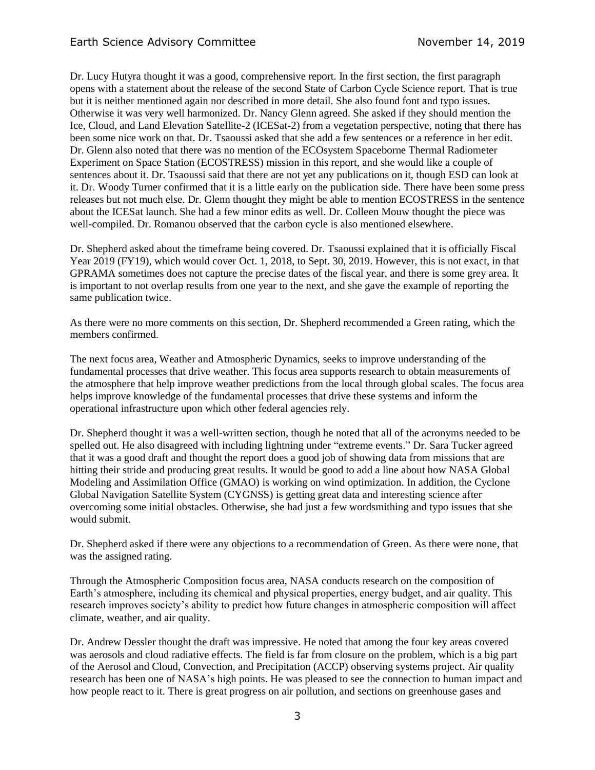Dr. Lucy Hutyra thought it was a good, comprehensive report. In the first section, the first paragraph opens with a statement about the release of the second State of Carbon Cycle Science report. That is true but it is neither mentioned again nor described in more detail. She also found font and typo issues. Otherwise it was very well harmonized. Dr. Nancy Glenn agreed. She asked if they should mention the Ice, Cloud, and Land Elevation Satellite-2 (ICESat-2) from a vegetation perspective, noting that there has been some nice work on that. Dr. Tsaoussi asked that she add a few sentences or a reference in her edit. Dr. Glenn also noted that there was no mention of the ECOsystem Spaceborne Thermal Radiometer Experiment on Space Station (ECOSTRESS) mission in this report, and she would like a couple of sentences about it. Dr. Tsaoussi said that there are not yet any publications on it, though ESD can look at it. Dr. Woody Turner confirmed that it is a little early on the publication side. There have been some press releases but not much else. Dr. Glenn thought they might be able to mention ECOSTRESS in the sentence about the ICESat launch. She had a few minor edits as well. Dr. Colleen Mouw thought the piece was well-compiled. Dr. Romanou observed that the carbon cycle is also mentioned elsewhere.

Dr. Shepherd asked about the timeframe being covered. Dr. Tsaoussi explained that it is officially Fiscal Year 2019 (FY19), which would cover Oct. 1, 2018, to Sept. 30, 2019. However, this is not exact, in that GPRAMA sometimes does not capture the precise dates of the fiscal year, and there is some grey area. It is important to not overlap results from one year to the next, and she gave the example of reporting the same publication twice.

As there were no more comments on this section, Dr. Shepherd recommended a Green rating, which the members confirmed.

The next focus area, Weather and Atmospheric Dynamics, seeks to improve understanding of the fundamental processes that drive weather. This focus area supports research to obtain measurements of the atmosphere that help improve weather predictions from the local through global scales. The focus area helps improve knowledge of the fundamental processes that drive these systems and inform the operational infrastructure upon which other federal agencies rely.

Dr. Shepherd thought it was a well-written section, though he noted that all of the acronyms needed to be spelled out. He also disagreed with including lightning under "extreme events." Dr. Sara Tucker agreed that it was a good draft and thought the report does a good job of showing data from missions that are hitting their stride and producing great results. It would be good to add a line about how NASA Global Modeling and Assimilation Office (GMAO) is working on wind optimization. In addition, the Cyclone Global Navigation Satellite System (CYGNSS) is getting great data and interesting science after overcoming some initial obstacles. Otherwise, she had just a few wordsmithing and typo issues that she would submit.

Dr. Shepherd asked if there were any objections to a recommendation of Green. As there were none, that was the assigned rating.

Through the Atmospheric Composition focus area, NASA conducts research on the composition of Earth's atmosphere, including its chemical and physical properties, energy budget, and air quality. This research improves society's ability to predict how future changes in atmospheric composition will affect climate, weather, and air quality.

Dr. Andrew Dessler thought the draft was impressive. He noted that among the four key areas covered was aerosols and cloud radiative effects. The field is far from closure on the problem, which is a big part of the Aerosol and Cloud, Convection, and Precipitation (ACCP) observing systems project. Air quality research has been one of NASA's high points. He was pleased to see the connection to human impact and how people react to it. There is great progress on air pollution, and sections on greenhouse gases and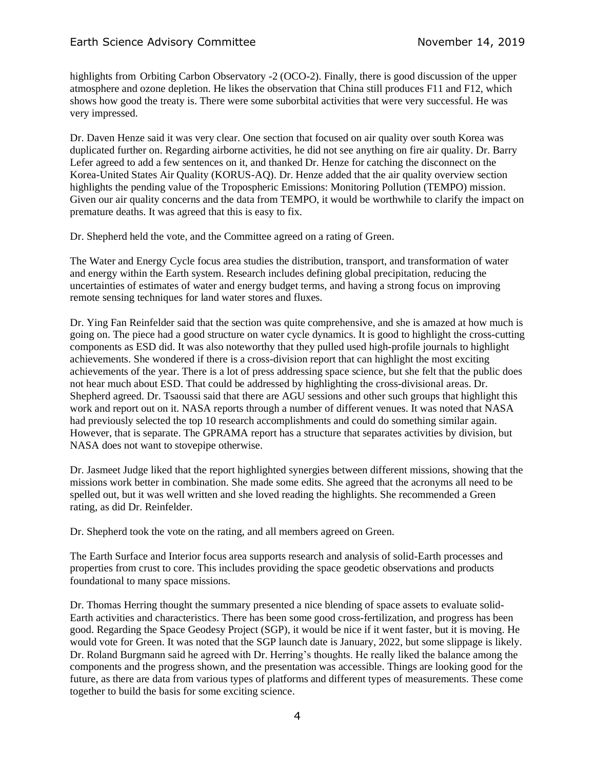## Earth Science Advisory Committee November 14, 2019

highlights from Orbiting Carbon Observatory -2 (OCO-2). Finally, there is good discussion of the upper atmosphere and ozone depletion. He likes the observation that China still produces F11 and F12, which shows how good the treaty is. There were some suborbital activities that were very successful. He was very impressed.

Dr. Daven Henze said it was very clear. One section that focused on air quality over south Korea was duplicated further on. Regarding airborne activities, he did not see anything on fire air quality. Dr. Barry Lefer agreed to add a few sentences on it, and thanked Dr. Henze for catching the disconnect on the Korea-United States Air Quality (KORUS-AQ). Dr. Henze added that the air quality overview section highlights the pending value of the Tropospheric Emissions: Monitoring Pollution (TEMPO) mission. Given our air quality concerns and the data from TEMPO, it would be worthwhile to clarify the impact on premature deaths. It was agreed that this is easy to fix.

Dr. Shepherd held the vote, and the Committee agreed on a rating of Green.

The Water and Energy Cycle focus area studies the distribution, transport, and transformation of water and energy within the Earth system. Research includes defining global precipitation, reducing the uncertainties of estimates of water and energy budget terms, and having a strong focus on improving remote sensing techniques for land water stores and fluxes.

Dr. Ying Fan Reinfelder said that the section was quite comprehensive, and she is amazed at how much is going on. The piece had a good structure on water cycle dynamics. It is good to highlight the cross-cutting components as ESD did. It was also noteworthy that they pulled used high-profile journals to highlight achievements. She wondered if there is a cross-division report that can highlight the most exciting achievements of the year. There is a lot of press addressing space science, but she felt that the public does not hear much about ESD. That could be addressed by highlighting the cross-divisional areas. Dr. Shepherd agreed. Dr. Tsaoussi said that there are AGU sessions and other such groups that highlight this work and report out on it. NASA reports through a number of different venues. It was noted that NASA had previously selected the top 10 research accomplishments and could do something similar again. However, that is separate. The GPRAMA report has a structure that separates activities by division, but NASA does not want to stovepipe otherwise.

Dr. Jasmeet Judge liked that the report highlighted synergies between different missions, showing that the missions work better in combination. She made some edits. She agreed that the acronyms all need to be spelled out, but it was well written and she loved reading the highlights. She recommended a Green rating, as did Dr. Reinfelder.

Dr. Shepherd took the vote on the rating, and all members agreed on Green.

The Earth Surface and Interior focus area supports research and analysis of solid-Earth processes and properties from crust to core. This includes providing the space geodetic observations and products foundational to many space missions.

Dr. Thomas Herring thought the summary presented a nice blending of space assets to evaluate solid-Earth activities and characteristics. There has been some good cross-fertilization, and progress has been good. Regarding the Space Geodesy Project (SGP), it would be nice if it went faster, but it is moving. He would vote for Green. It was noted that the SGP launch date is January, 2022, but some slippage is likely. Dr. Roland Burgmann said he agreed with Dr. Herring's thoughts. He really liked the balance among the components and the progress shown, and the presentation was accessible. Things are looking good for the future, as there are data from various types of platforms and different types of measurements. These come together to build the basis for some exciting science.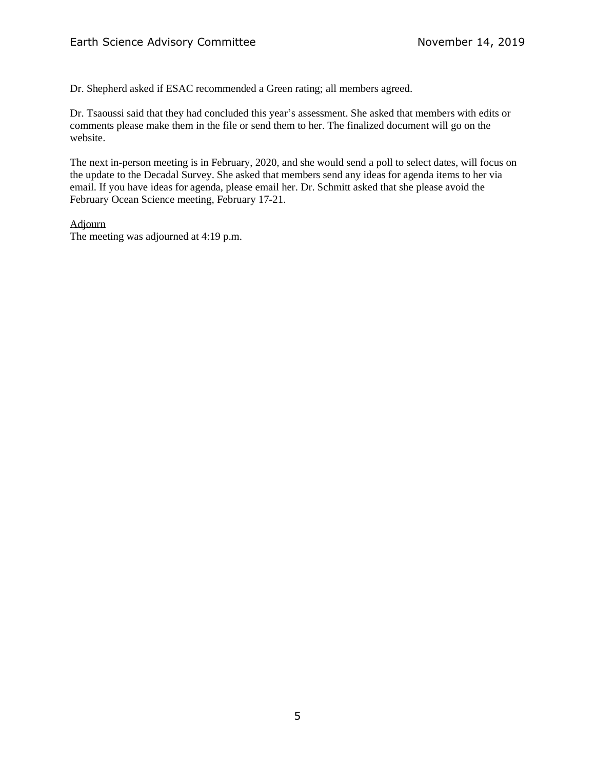Dr. Shepherd asked if ESAC recommended a Green rating; all members agreed.

Dr. Tsaoussi said that they had concluded this year's assessment. She asked that members with edits or comments please make them in the file or send them to her. The finalized document will go on the website.

The next in-person meeting is in February, 2020, and she would send a poll to select dates, will focus on the update to the Decadal Survey. She asked that members send any ideas for agenda items to her via email. If you have ideas for agenda, please email her. Dr. Schmitt asked that she please avoid the February Ocean Science meeting, February 17-21.

Adjourn

The meeting was adjourned at 4:19 p.m.